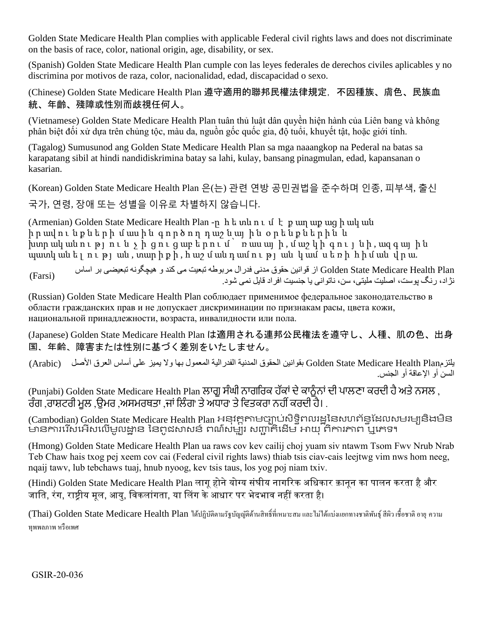Golden State Medicare Health Plan complies with applicable Federal civil rights laws and does not discriminate on the basis of race, color, national origin, age, disability, or sex.

(Spanish) Golden State Medicare Health Plan cumple con las leyes federales de derechos civiles aplicables y no discrimina por motivos de raza, color, nacionalidad, edad, discapacidad o sexo.

(Chinese) Golden State Medicare Health Plan 遵守適用的聯邦民權法律規定,不因種族、膚色、民族血 統、年齡、殘障或性別而歧視任何人。

(Vietnamese) Golden State Medicare Health Plan tuân thủ luật dân quyền hiện hành của Liên bang và không phân biệt đối xử dựa trên chủng tộc, màu da, nguồn gốc quốc gia, độ tuổi, khuyết tật, hoặc giới tính.

(Tagalog) Sumusunod ang Golden State Medicare Health Plan sa mga naaangkop na Pederal na batas sa karapatang sibil at hindi nandidiskrimina batay sa lahi, kulay, bansang pinagmulan, edad, kapansanan o kasarian.

(Korean) Golden State Medicare Health Plan 은(는) 관련 연방 공민권법을 준수하며 인종, 피부색, 출신 국가, 연령, 장애 또는 성별을 이유로 차별하지 않습니다.

(Armenian) Golden State Medicare Health Plan -ը հ ե տև ո ւ մ է ք աղ աք աց ի ակ ան իր ավուն քն երի մ ասին գործող դաշնալին օրենքներին և  $\frac{1}{2}$  իստ որ ան ու թ լ ո ւ ն չ ի ց ո ւ ց ա բ ե ր ո ւ մ ՝ ռ աս ա լ ի , մ ա շ կ ի գ ո ւ լ ն ի , ա գ գ ա լ ի ն պատկան ել ու թյան, տարիք ի, հա ջ մ ան դամ ու թյան կամ ս ե ռի հիման վրա.

Plan Health Medicare State Golden از قوانین حقوق مدنی فدرال مربوطه تبعیت می کند و هیچگونه تبعیضی بر اساس نژاد، رنگ پوست، اصلیت ملیتی، سن، ناتوانی یا جنسیت افراد قایل نمی شود. (Farsi)

(Russian) Golden State Medicare Health Plan соблюдает применимое федеральное законодательство в области гражданских прав и не допускает дискриминации по признакам расы, цвета кожи, национальной принадлежности, возраста, инвалидности или пола.

(Japanese) Golden State Medicare Health Plan は適用される連邦公民権法を遵守し、人種、肌の色、出身 国、年齢、障害または性別に基づく差別をいたしません。

يلتزمArabic) بقوانين الحقوق المدنية الفدرالية المعمول بها ولا يميز على أساس العرق الأصل (Arabic) السن أو اإلعاقة أو الجنس.

(Punjabi) Golden State Medicare Health Plan ਲਾਗੂ ਸੰਘੀ ਨਾਗਰਿਕ ਹੱਕਾਂ ਦੇ ਕਾਨੰਨਾਂ ਦੀ ਪਾਲਣਾ ਕਰਦੀ ਹੈ ਅਤੇ ਨਸਲ , ਰੰਗ ,ਰਾਸ਼ਟਰੀ ਮੂਲ ,ਉਮਰ ,ਅਸਮਰਥਤਾ ,ਜਾਂ ਲਿੰਗ' ਤੇ ਅਧਾਰ' ਤੇ ਵਿਤਕਰਾ ਨਹੀਂ ਕਰਦੀ ਹੈ। .

(Cambodian) Golden State Medicare Health Plan អនុវត្តតាមច្បាប់សិទ្ធិពលរដ្ឋនៃសហព័ន្ធដែលសមរម្យនិងមិន មានការរើសអើសលើមូលដ្ឋាន នៃពុជសាសន៍ ពណ៌សម្បុរ សញ្ជាតិដើម អាយុ ពិការភាព ឬរភទ។

(Hmong) Golden State Medicare Health Plan ua raws cov kev cailij choj yuam siv ntawm Tsom Fwv Nrub Nrab Teb Chaw hais txog pej xeem cov cai (Federal civil rights laws) thiab tsis ciav-cais leejtwg vim nws hom neeg, nqaij tawv, lub tebchaws tuaj, hnub nyoog, kev tsis taus, los yog poj niam txiv.

(Hindi) Golden State Medicare Health Plan लागू होने योग्य संघीय नागरिक अधिकार क़ानून का पालन करता है और जाति, रंग, राष्ट्रीय मूल, आयु, विकलांगता, या लिंग के आधार पर भेदभाव नहीं करता है।

(Thai) Golden State Medicare Health Plan ได้ปฏิบัติตามรัฐบัญญัติด้านสิทธิ์ ที่เหมาะสม และไม่ได้แบ่งแยกทางชาติพันธุ์ สีผิว เชื้อชาติ อายุความ ทุพพลภาพ หรือเพศ